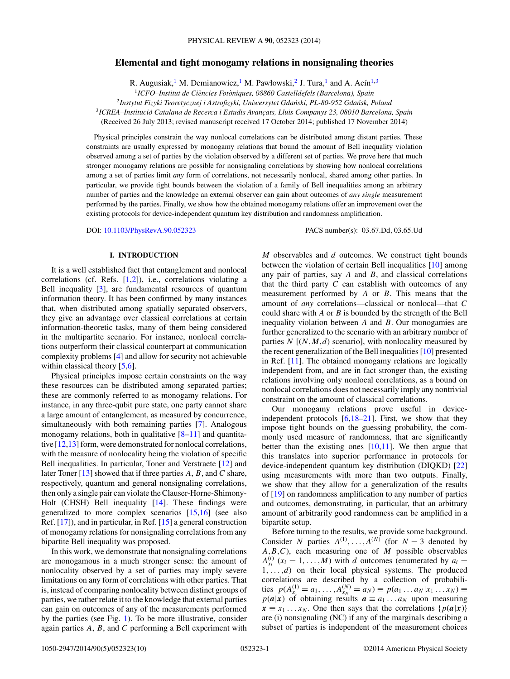# **Elemental and tight monogamy relations in nonsignaling theories**

R. Augusiak,<sup>1</sup> M. Demianowicz,<sup>1</sup> M. Pawłowski,<sup>2</sup> J. Tura,<sup>1</sup> and A. Ac $\hat{\text{nn}}^{1,3}$ 

<sup>1</sup>ICFO–Institut de Ciències Fotòniques, 08860 Castelldefels (Barcelona), Spain

<sup>2</sup> Instytut Fizyki Teoretycznej i Astrofizyki, Uniwersytet Gdański, PL-80-952 Gdańsk, Poland

<sup>3</sup>*ICREA–Institucio Catalana de Recerca i Estudis Avanc ´ ¸ats, Lluis Companys 23, 08010 Barcelona, Spain*

(Received 26 July 2013; revised manuscript received 17 October 2014; published 17 November 2014)

Physical principles constrain the way nonlocal correlations can be distributed among distant parties. These constraints are usually expressed by monogamy relations that bound the amount of Bell inequality violation observed among a set of parties by the violation observed by a different set of parties. We prove here that much stronger monogamy relations are possible for nonsignaling correlations by showing how nonlocal correlations among a set of parties limit *any* form of correlations, not necessarily nonlocal, shared among other parties. In particular, we provide tight bounds between the violation of a family of Bell inequalities among an arbitrary number of parties and the knowledge an external observer can gain about outcomes of *any single* measurement performed by the parties. Finally, we show how the obtained monogamy relations offer an improvement over the existing protocols for device-independent quantum key distribution and randomness amplification.

DOI: [10.1103/PhysRevA.90.052323](http://dx.doi.org/10.1103/PhysRevA.90.052323) PACS number(s): 03*.*67*.*Dd*,* 03*.*65*.*Ud

### **I. INTRODUCTION**

It is a well established fact that entanglement and nonlocal correlations (cf. Refs. [\[1,2\]](#page-9-0)), i.e., correlations violating a Bell inequality [\[3\]](#page-9-0), are fundamental resources of quantum information theory. It has been confirmed by many instances that, when distributed among spatially separated observers, they give an advantage over classical correlations at certain information-theoretic tasks, many of them being considered in the multipartite scenario. For instance, nonlocal correlations outperform their classical counterpart at communication complexity problems [\[4\]](#page-9-0) and allow for security not achievable within classical theory [\[5,6\]](#page-9-0).

Physical principles impose certain constraints on the way these resources can be distributed among separated parties; these are commonly referred to as monogamy relations. For instance, in any three-qubit pure state, one party cannot share a large amount of entanglement, as measured by concurrence, simultaneously with both remaining parties [\[7\]](#page-9-0). Analogous monogamy relations, both in qualitative  $[8-11]$  and quantitative [\[12,13\]](#page-9-0) form, were demonstrated for nonlocal correlations, with the measure of nonlocality being the violation of specific Bell inequalities. In particular, Toner and Verstraete [\[12\]](#page-9-0) and later Toner [\[13\]](#page-9-0) showed that if three parties *A*, *B*, and *C* share, respectively, quantum and general nonsignaling correlations, then only a single pair can violate the Clauser-Horne-Shimony-Holt (CHSH) Bell inequality [\[14\]](#page-9-0). These findings were generalized to more complex scenarios [\[15,16\]](#page-9-0) (see also Ref. [\[17\]](#page-9-0)), and in particular, in Ref. [\[15\]](#page-9-0) a general construction of monogamy relations for nonsignaling correlations from any bipartite Bell inequality was proposed.

In this work, we demonstrate that nonsignaling correlations are monogamous in a much stronger sense: the amount of nonlocality observed by a set of parties may imply severe limitations on any form of correlations with other parties. That is, instead of comparing nonlocality between distinct groups of parties, we rather relate it to the knowledge that external parties can gain on outcomes of any of the measurements performed by the parties (see Fig. [1\)](#page-1-0). To be more illustrative, consider again parties *A*, *B*, and *C* performing a Bell experiment with

*M* observables and *d* outcomes. We construct tight bounds between the violation of certain Bell inequalities [\[10\]](#page-9-0) among any pair of parties, say *A* and *B*, and classical correlations that the third party *C* can establish with outcomes of any measurement performed by *A* or *B*. This means that the amount of *any* correlations—classical or nonlocal—that *C* could share with *A* or *B* is bounded by the strength of the Bell inequality violation between *A* and *B*. Our monogamies are further generalized to the scenario with an arbitrary number of parties  $N$   $[(N, M, d)$  scenario], with nonlocality measured by the recent generalization of the Bell inequalities [\[10\]](#page-9-0) presented in Ref. [\[11\]](#page-9-0). The obtained monogamy relations are logically independent from, and are in fact stronger than, the existing relations involving only nonlocal correlations, as a bound on nonlocal correlations does not necessarily imply any nontrivial constraint on the amount of classical correlations.

Our monogamy relations prove useful in deviceindependent protocols  $[6,18-21]$ . First, we show that they impose tight bounds on the guessing probability, the commonly used measure of randomness, that are significantly better than the existing ones  $[10,11]$ . We then argue that this translates into superior performance in protocols for device-independent quantum key distribution (DIQKD) [\[22\]](#page-9-0) using measurements with more than two outputs. Finally, we show that they allow for a generalization of the results of [\[19\]](#page-9-0) on randomness amplification to any number of parties and outcomes, demonstrating, in particular, that an arbitrary amount of arbitrarily good randomness can be amplified in a bipartite setup.

Before turning to the results, we provide some background. Consider *N* parties  $A^{(1)}, \ldots, A^{(N)}$  (for  $N = 3$  denoted by *A,B,C*), each measuring one of *M* possible observables  $A_{x_i}^{(i)}$  ( $x_i = 1, ..., M$ ) with *d* outcomes (enumerated by  $a_i =$  $1, \ldots, d$  on their local physical systems. The produced correlations are described by a collection of probabilities  $p(A_{x_1}^{(1)} = a_1, ..., A_{x_N}^{(N)} = a_N) \equiv p(a_1...a_N | x_1...x_N) \equiv$  $p(a|x)$  of obtaining results  $a \equiv a_1 \dots a_N$  upon measuring  $x \equiv x_1 \dots x_N$ . One then says that the correlations {*p*(*a*|*x*)} are (i) nonsignaling (NC) if any of the marginals describing a subset of parties is independent of the measurement choices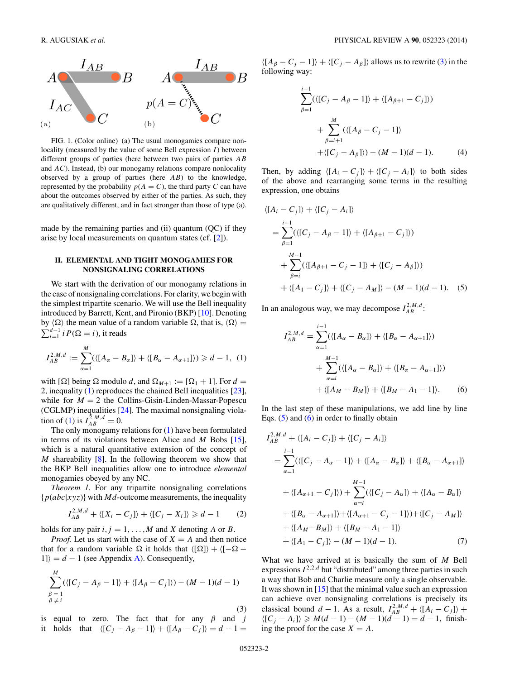<span id="page-1-0"></span>

FIG. 1. (Color online) (a) The usual monogamies compare nonlocality (measured by the value of some Bell expression *I*) between different groups of parties (here between two pairs of parties *AB* and *AC*). Instead, (b) our monogamy relations compare nonlocality observed by a group of parties (here *AB*) to the knowledge, represented by the probability  $p(A = C)$ , the third party *C* can have about the outcomes observed by either of the parties. As such, they are qualitatively different, and in fact stronger than those of type (a).

made by the remaining parties and (ii) quantum (QC) if they arise by local measurements on quantum states (cf. [\[2\]](#page-9-0)).

## **II. ELEMENTAL AND TIGHT MONOGAMIES FOR NONSIGNALING CORRELATIONS**

We start with the derivation of our monogamy relations in the case of nonsignaling correlations. For clarity, we begin with the simplest tripartite scenario. We will use the Bell inequality introduced by Barrett, Kent, and Pironio (BKP) [\[10\]](#page-9-0). Denoting by  $\langle \Omega \rangle$  the mean value of a random variable  $\Omega$ , that is,  $\langle \Omega \rangle =$  $\sum_{i=1}^{d-1} i P(\Omega = i)$ , it reads

$$
I_{AB}^{2,M,d} := \sum_{\alpha=1}^{M} (\langle [A_{\alpha} - B_{\alpha}] \rangle + \langle [B_{\alpha} - A_{\alpha+1}] \rangle) \geq d - 1, (1)
$$

with  $[\Omega]$  being  $\Omega$  modulo *d*, and  $\Omega_{M+1} := [\Omega_1 + 1]$ . For  $d =$ 2, inequality (1) reproduces the chained Bell inequalities [\[23\]](#page-9-0), while for  $M = 2$  the Collins-Gisin-Linden-Massar-Popescu (CGLMP) inequalities [\[24\]](#page-9-0). The maximal nonsignaling viola- $\text{tion of (1) is } I_{AB}^{2,M,d} = 0.$ 

The only monogamy relations for (1) have been formulated in terms of its violations between Alice and *M* Bobs [\[15\]](#page-9-0), which is a natural quantitative extension of the concept of *M* shareability [\[8\]](#page-9-0). In the following theorem we show that the BKP Bell inequalities allow one to introduce *elemental* monogamies obeyed by any NC.

*Theorem 1.* For any tripartite nonsignaling correlations  ${p(abc|xyz)}$  with *Md*-outcome measurements, the inequality

$$
I_{AB}^{2,M,d} + \langle [X_i - C_j] \rangle + \langle [C_j - X_i] \rangle \ge d - 1 \qquad (2)
$$

holds for any pair  $i, j = 1, ..., M$  and *X* denoting *A* or *B*.

*Proof.* Let us start with the case of  $X = A$  and then notice that for a random variable  $\Omega$  it holds that  $\langle [\Omega] \rangle + \langle [-\Omega |1\rangle = d - 1$  (see Appendix [A\)](#page-7-0). Consequently,

$$
\sum_{\substack{\beta=1\\\beta\neq i}}^{M} (\langle [C_j - A_\beta - 1] \rangle + \langle [A_\beta - C_j] \rangle) - (M - 1)(d - 1)
$$
\n(3)

is equal to zero. The fact that for any *β* and *j* it holds that  $\langle [C_j - A_\beta - 1] \rangle + \langle [A_\beta - C_j] \rangle = d - 1 =$   $\langle [A_{\beta} - C_j - 1] \rangle + \langle [C_j - A_{\beta}] \rangle$  allows us to rewrite (3) in the following way:

$$
\sum_{\beta=1}^{i-1} (\langle [C_j - A_{\beta} - 1] \rangle + \langle [A_{\beta+1} - C_j] \rangle)
$$
  
+ 
$$
\sum_{\beta=i+1}^{M} (\langle [A_{\beta} - C_j - 1] \rangle + \langle [C_j - A_{\beta}] \rangle) - (M - 1)(d - 1).
$$
 (4)

Then, by adding  $\langle [A_i - C_j] \rangle + \langle [C_j - A_i] \rangle$  to both sides of the above and rearranging some terms in the resulting expression, one obtains

$$
\langle [A_i - C_j] \rangle + \langle [C_j - A_i] \rangle
$$
  
= 
$$
\sum_{\beta=1}^{i-1} (\langle [C_j - A_{\beta} - 1] \rangle + \langle [A_{\beta+1} - C_j] \rangle)
$$
  
+ 
$$
\sum_{\beta=i}^{M-1} (\langle [A_{\beta+1} - C_j - 1] \rangle + \langle [C_j - A_{\beta}] \rangle)
$$
  
+ 
$$
\langle [A_1 - C_j] \rangle + \langle [C_j - A_M] \rangle - (M - 1)(d - 1).
$$
 (5)

In an analogous way, we may decompose  $I_{AB}^{2,M,d}$ :

$$
I_{AB}^{2,M,d} = \sum_{\alpha=1}^{i-1} (\langle [A_{\alpha} - B_{\alpha}] \rangle + \langle [B_{\alpha} - A_{\alpha+1}] \rangle) + \sum_{\alpha=i}^{M-1} (\langle [A_{\alpha} - B_{\alpha}] \rangle + \langle [B_{\alpha} - A_{\alpha+1}] \rangle) + \langle [A_{M} - B_{M}] \rangle + \langle [B_{M} - A_{1} - 1] \rangle.
$$
 (6)

In the last step of these manipulations, we add line by line Eqs.  $(5)$  and  $(6)$  in order to finally obtain

$$
I_{AB}^{2,M,d} + \langle [A_i - C_j] \rangle + \langle [C_j - A_i] \rangle
$$
  
=  $\sum_{\alpha=1}^{i-1} (\langle [C_j - A_{\alpha} - 1] \rangle + \langle [A_{\alpha} - B_{\alpha}] \rangle + \langle [B_{\alpha} - A_{\alpha+1}] \rangle$   
+  $\langle [A_{\alpha+1} - C_j] \rangle$ ) +  $\sum_{\alpha=i}^{M-1} (\langle [C_j - A_{\alpha}] \rangle + \langle [A_{\alpha} - B_{\alpha}] \rangle$   
+  $\langle [B_{\alpha} - A_{\alpha+1}] \rangle + \langle [A_{\alpha+1} - C_j - 1] \rangle$ ) +  $\langle [C_j - A_M] \rangle$   
+  $\langle [A_M - B_M] \rangle + \langle [B_M - A_1 - 1] \rangle$   
+  $\langle [A_1 - C_j] \rangle - (M - 1)(d - 1).$  (7)

What we have arrived at is basically the sum of *M* Bell expressions  $I^{2,2,d}$  but "distributed" among three parties in such a way that Bob and Charlie measure only a single observable. It was shown in  $[15]$  that the minimal value such an expression can achieve over nonsignaling correlations is precisely its classical bound *d* − 1. As a result,  $I_{AB}^{2,M,d}$  +  $\langle [A_i - C_j] \rangle$  +  $\langle [C_j - A_i] \rangle \geq M(d-1) - (M-1)(d-1) = d - 1$ , finishing the proof for the case  $X = A$ .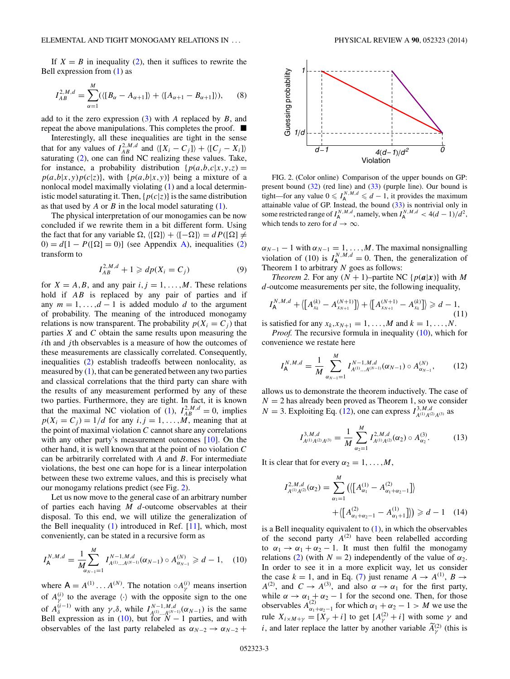<span id="page-2-0"></span>If  $X = B$  in inequality [\(2\)](#page-1-0), then it suffices to rewrite the Bell expression from [\(1\)](#page-1-0) as

*M*

$$
I_{AB}^{2,M,d} = \sum_{\alpha=1}^{M} (\langle [B_{\alpha} - A_{\alpha+1}] \rangle + \langle [A_{\alpha+1} - B_{\alpha+1}] \rangle), \qquad (8)
$$

add to it the zero expression [\(3\)](#page-1-0) with *A* replaced by *B*, and repeat the above manipulations. This completes the proof.

Interestingly, all these inequalities are tight in the sense that for any values of  $I_{AB}^{2,M,d}$  and  $\langle [X_i - C_j] \rangle + \langle [C_j - X_i] \rangle$ saturating [\(2\)](#page-1-0), one can find NC realizing these values. Take, for instance, a probability distribution  $\{p(a,b,c|x,y,z) =$  $p(a,b|x,y)p(c|z)$ , with  $\{p(a,b|x,y)\}$  being a mixture of a nonlocal model maximally violating [\(1\)](#page-1-0) and a local deterministic model saturating it. Then,  $\{p(c|z)\}\$ is the same distribution as that used by *A* or *B* in the local model saturating [\(1\)](#page-1-0).

The physical interpretation of our monogamies can be now concluded if we rewrite them in a bit different form. Using the fact that for any variable  $\Omega$ ,  $\langle [\Omega] \rangle + \langle [-\Omega] \rangle = dP([\Omega] \neq$  $0 = d[1 - P([\Omega] = 0)]$  (see Appendix [A\)](#page-7-0), inequalities [\(2\)](#page-1-0) transform to

$$
I_{AB}^{2,M,d} + 1 \geqslant dp(X_i = C_j)
$$
\n(9)

for  $X = A, B$ , and any pair  $i, j = 1, ..., M$ . These relations hold if *AB* is replaced by any pair of parties and if any  $m = 1, \ldots, d - 1$  is added modulo *d* to the argument of probability. The meaning of the introduced monogamy relations is now transparent. The probability  $p(X_i = C_i)$  that parties *X* and *C* obtain the same results upon measuring the *i*th and *j* th observables is a measure of how the outcomes of these measurements are classically correlated. Consequently, inequalities [\(2\)](#page-1-0) establish tradeoffs between nonlocality, as measured by [\(1\)](#page-1-0), that can be generated between any two parties and classical correlations that the third party can share with the results of any measurement performed by any of these two parties. Furthermore, they are tight. In fact, it is known that the maximal NC violation of [\(1\)](#page-1-0),  $I_{AB}^{2,M,d} = 0$ , implies  $p(X_i = C_j) = 1/d$  for any  $i, j = 1, \ldots, M$ , meaning that at the point of maximal violation *C* cannot share any correlations with any other party's measurement outcomes [\[10\]](#page-9-0). On the other hand, it is well known that at the point of no violation *C* can be arbitrarily correlated with *A* and *B*. For intermediate violations, the best one can hope for is a linear interpolation between these two extreme values, and this is precisely what our monogamy relations predict (see Fig. 2).

Let us now move to the general case of an arbitrary number of parties each having *M d*-outcome observables at their disposal. To this end, we will utilize the generalization of the Bell inequality  $(1)$  introduced in Ref.  $[11]$ , which, most conveniently, can be stated in a recursive form as

$$
I_{\mathsf{A}}^{N,M,d} = \frac{1}{M} \sum_{\alpha_{N-1}=1}^{M} I_{A^{(1)}...A^{(N-1)}}^{N-1,M,d}(\alpha_{N-1}) \circ A_{\alpha_{N-1}}^{(N)} \geq d-1, \quad (10)
$$

where  $A = A^{(1)} \dots A^{(N)}$ . The notation  $\circ A^{(i)}_{\gamma}$  means insertion of  $A_{\gamma}^{(i)}$  to the average  $\langle \cdot \rangle$  with the opposite sign to the one of  $A_{\delta}^{(i-1)}$  with any  $\gamma, \delta$ , while  $I_{A^{(1)}...A^{(N-1)}}^{N-1,M,d}(\alpha_{N-1})$  is the same Bell expression as in (10), but for  $N-1$  parties, and with observables of the last party relabeled as  $\alpha_{N-2} \rightarrow \alpha_{N-2}$  +



FIG. 2. (Color online) Comparison of the upper bounds on GP: present bound [\(32\)](#page-5-0) (red line) and [\(33\)](#page-5-0) (purple line). Our bound is tight—for any value  $0 \leq I_A^{N,M,d} \leq d-1$ , it provides the maximum attainable value of GP. Instead, the bound  $(33)$  is nontrivial only in some restricted range of  $I_A^{N,M,d}$ , namely, when  $I_A^{N,M,d} < 4(d-1)/d^2$ , which tends to zero for  $d \to \infty$ .

 $\alpha_{N-1}$  – 1 with  $\alpha_{N-1} = 1, \ldots, M$ . The maximal nonsignalling violation of (10) is  $I_A^{N,M,d} = 0$ . Then, the generalization of Theorem 1 to arbitrary *N* goes as follows:

*Theorem 2.* For any  $(N + 1)$ –partite NC { $p(a|x)$ } with *M d*-outcome measurements per site, the following inequality,

$$
I_{\mathsf{A}}^{N,M,d} + \langle [A_{x_k}^{(k)} - A_{x_{N+1}}^{(N+1)}] \rangle + \langle [A_{x_{N+1}}^{(N+1)} - A_{x_k}^{(k)}] \rangle \ge d - 1, \tag{11}
$$

is satisfied for any  $x_k, x_{N+1} = 1, ..., M$  and  $k = 1, ..., N$ . *Proof.* The recursive formula in inequality (10), which for

convenience we restate here

$$
I_{\mathsf{A}}^{N,M,d} = \frac{1}{M} \sum_{\alpha_{N-1}=1}^{M} I_{A^{(1)}...A^{(N-1)}}^{N-1,M,d}(\alpha_{N-1}) \circ A_{\alpha_{N-1}}^{(N)},\tag{12}
$$

allows us to demonstrate the theorem inductively. The case of  $N = 2$  has already been proved as Theorem 1, so we consider *N* = 3. Exploiting Eq. (12), one can express  $I_{A^{(1)}A^{(2)}A^{(3)}}^{3,M,d}$  as

$$
I_{A^{(1)}A^{(2)}A^{(3)}}^{3,M,d} = \frac{1}{M} \sum_{\alpha_2=1}^{M} I_{A^{(1)}A^{(2)}}^{2,M,d}(\alpha_2) \circ A_{\alpha_2}^{(3)}.
$$
 (13)

It is clear that for every  $\alpha_2 = 1, \ldots, M$ ,

$$
I_{A^{(1)}A^{(2)}}^{2,M,d}(\alpha_2) = \sum_{\alpha_1=1}^{M} \left( \left\{ A_{\alpha_1}^{(1)} - A_{\alpha_1 + \alpha_2 - 1}^{(2)} \right\} \right) + \left\{ \left[ A_{\alpha_1 + \alpha_2 - 1}^{(2)} - A_{\alpha_1 + 1}^{(1)} \right] \right\} \geq d - 1 \quad (14)
$$

is a Bell inequality equivalent to  $(1)$ , in which the observables of the second party  $A^{(2)}$  have been relabelled according to  $\alpha_1 \rightarrow \alpha_1 + \alpha_2 - 1$ . It must then fulfil the monogamy relations [\(2\)](#page-1-0) (with  $N = 2$ ) independently of the value of  $\alpha_2$ . In order to see it in a more explicit way, let us consider the case  $k = 1$ , and in Eq. [\(7\)](#page-1-0) just rename  $A \rightarrow A^{(1)}$ ,  $B \rightarrow$  $A^{(2)}$ , and  $C \rightarrow A^{(3)}$ , and also  $\alpha \rightarrow \alpha_1$  for the first party, while  $\alpha \rightarrow \alpha_1 + \alpha_2 - 1$  for the second one. Then, for those observables  $A_{\alpha_1+\alpha_2-1}^{(2)}$  for which  $\alpha_1+\alpha_2-1 > M$  we use the rule  $X_{i \times M + \gamma} = [X_{\gamma} + i]$  to get  $[A_{\gamma}^{(2)} + i]$  with some  $\gamma$  and *i*, and later replace the latter by another variable  $\widetilde{A}_{\gamma}^{(2)}$  (this is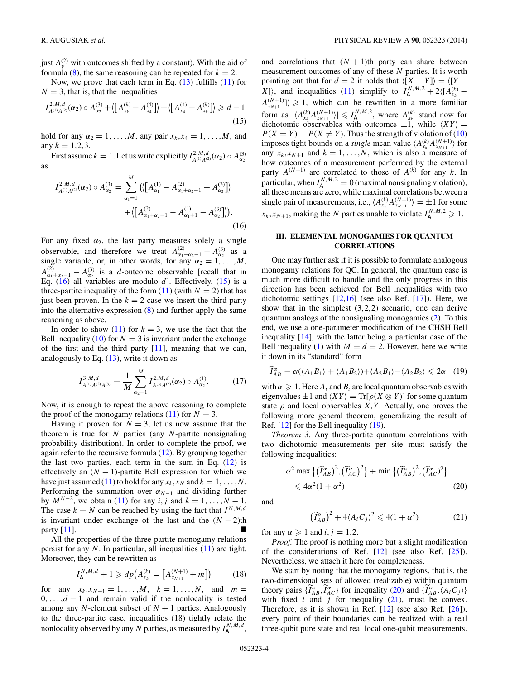<span id="page-3-0"></span>just  $A_{\gamma}^{(2)}$  with outcomes shifted by a constant). With the aid of formula [\(8\)](#page-2-0), the same reasoning can be repeated for  $k = 2$ .

Now, we prove that each term in Eq.  $(13)$  fulfills  $(11)$  for  $N = 3$ , that is, that the inequalities

$$
I_{A^{(1)}A^{(2)}}^{2,M,d}(\alpha_2) \circ A_{\alpha_2}^{(3)} + \langle \left[A_{x_k}^{(k)} - A_{x_4}^{(4)}\right] \rangle + \langle \left[A_{x_4}^{(4)} - A_{x_k}^{(k)}\right] \rangle \geq d - 1
$$
\n(15)

hold for any  $\alpha_2 = 1, \ldots, M$ , any pair  $x_k, x_4 = 1, \ldots, M$ , and any  $k = 1, 2, 3$ .

First assume  $k = 1$ . Let us write explicitly  $I_{A^{(1)}A^{(2)}}^{2,M,d}(\alpha_2) \circ A_{\alpha_2}^{(3)}$ as

$$
I_{A^{(1)}A^{(2)}}^{2,M,d}(\alpha_2) \circ A_{\alpha_2}^{(3)} = \sum_{\alpha_1=1}^{M} \left( \left\langle \left[ A_{\alpha_1}^{(1)} - A_{\alpha_1+\alpha_2-1}^{(2)} + A_{\alpha_2}^{(3)} \right] \right\rangle + \left\langle \left[ A_{\alpha_1+\alpha_2-1}^{(2)} - A_{\alpha_1+1}^{(1)} - A_{\alpha_2}^{(3)} \right] \right\rangle \right).
$$
\n(16)

For any fixed  $\alpha_2$ , the last party measures solely a single observable, and therefore we treat  $A_{\alpha_1+\alpha_2-1}^{(2)} - A_{\alpha_2}^{(3)}$  as a single variable, or, in other words, for any  $\alpha_2 = 1, \ldots, M$ ,  $A_{\alpha_1+\alpha_2-1}^{(2)} - A_{\alpha_2}^{(3)}$  is a *d*-outcome observable [recall that in Eq. (16) all variables are modulo *d*]. Effectively, (15) is a three-partite inequality of the form  $(11)$  (with  $N = 2$ ) that has just been proven. In the  $k = 2$  case we insert the third party into the alternative expression [\(8\)](#page-2-0) and further apply the same reasoning as above.

In order to show  $(11)$  for  $k = 3$ , we use the fact that the Bell inequality [\(10\)](#page-2-0) for  $N = 3$  is invariant under the exchange of the first and the third party  $[11]$ , meaning that we can, analogously to Eq.  $(13)$ , write it down as

$$
I_{A^{(1)}A^{(2)}A^{(3)}}^{3,M,d} = \frac{1}{M} \sum_{\alpha_2=1}^{M} I_{A^{(3)}A^{(2)}}^{2,M,d}(\alpha_2) \circ A_{\alpha_2}^{(1)}.
$$
 (17)

Now, it is enough to repeat the above reasoning to complete the proof of the monogamy relations  $(11)$  for  $N = 3$ .

Having it proven for  $N = 3$ , let us now assume that the theorem is true for *N* parties (any *N*-partite nonsignaling probability distribution). In order to complete the proof, we again refer to the recursive formula [\(12\)](#page-2-0). By grouping together the last two parties, each term in the sum in Eq.  $(12)$  is effectively an  $(N - 1)$ -partite Bell expression for which we have just assumed [\(11\)](#page-2-0) to hold for any  $x_k$ ,  $x_N$  and  $k = 1, ..., N$ . Performing the summation over  $\alpha_{N-1}$  and dividing further by  $M^{N-2}$ , we obtain [\(11\)](#page-2-0) for any *i*, *j* and  $k = 1, ..., N - 1$ . The case  $k = N$  can be reached by using the fact that  $I^{N,M,d}$ is invariant under exchange of the last and the  $(N - 2)$ th party [\[11\]](#page-9-0).

All the properties of the three-partite monogamy relations persist for any *N*. In particular, all inequalities [\(11\)](#page-2-0) are tight. Moreover, they can be rewritten as

$$
I_{\mathsf{A}}^{N,M,d} + 1 \geqslant dp\big(A_{x_k}^{(k)} = \big[A_{x_{N+1}}^{(N+1)} + m\big]\big) \tag{18}
$$

for any  $x_k, x_{N+1} = 1, ..., M, k = 1, ..., N,$  and  $m =$ 0*, . . . ,d* − 1 and remain valid if the nonlocality is tested among any *N*-element subset of  $N + 1$  parties. Analogously to the three-partite case, inequalities (18) tightly relate the nonlocality observed by any *N* parties, as measured by  $I_A^{N,M,d}$ , and correlations that  $(N + 1)$ th party can share between measurement outcomes of any of these *N* parties. It is worth pointing out that for  $d = 2$  it holds that  $\langle [X - Y] \rangle = \langle [Y -$ *X*]), and inequalities [\(11\)](#page-2-0) simplify to  $I_A^{N,M,2} + 2\langle [A_{x_k}^{(k)} - A_{x_k}^{(k)}] \rangle$  $A_{X_{N+1}}^{(N+1)}$  > 1, which can be rewritten in a more familiar form as  $| \langle A_{x_k}^{(k)} A_{x_{N+1}}^{(N+1)} \rangle | \leq l_A^{N,M,2}$ , where  $A_{x_k}^{(k)}$  stand now for dichotomic observables with outcomes  $\pm 1$ , while  $\langle XY \rangle =$  $P(X = Y) - P(X \neq Y)$ . Thus the strength of violation of [\(10\)](#page-2-0) imposes tight bounds on a *single* mean value  $\langle A_{x_k}^{(k)} A_{x_{N+1}}^{(N+1)} \rangle$  for any  $x_k, x_{N+1}$  and  $k = 1, ..., N$ , which is also a measure of how outcomes of a measurement performed by the external party  $A^{(N+1)}$  are correlated to those of  $A^{(k)}$  for any k. In particular, when  $I_A^{N,M,2} = 0$  (maximal nonsignaling violation), all these means are zero, while maximal correlations between a single pair of measurements, i.e.,  $\langle A_{x_k}^{(k)} A_{x_{N+1}}^{(N+1)} \rangle = \pm 1$  for some  $x_k, x_{N+1}$ , making the *N* parties unable to violate  $I_A^{N,M,2} \geq 1$ .

### **III. ELEMENTAL MONOGAMIES FOR QUANTUM CORRELATIONS**

One may further ask if it is possible to formulate analogous monogamy relations for QC. In general, the quantum case is much more difficult to handle and the only progress in this direction has been achieved for Bell inequalities with two dichotomic settings [\[12,16\]](#page-9-0) (see also Ref. [\[17\]](#page-9-0)). Here, we show that in the simplest (3*,*2*,*2) scenario, one can derive quantum analogs of the nonsignaling monogamies [\(2\)](#page-1-0). To this end, we use a one-parameter modification of the CHSH Bell inequality [\[14\]](#page-9-0), with the latter being a particular case of the Bell inequality [\(1\)](#page-1-0) with  $M = d = 2$ . However, here we write it down in its "standard" form

$$
\widetilde{I}_{AB}^{\alpha} = \alpha(\langle A_1 B_1 \rangle + \langle A_1 B_2 \rangle) + \langle A_2 B_1 \rangle - \langle A_2 B_2 \rangle \leq 2\alpha \quad (19)
$$

with  $\alpha \geqslant 1$ . Here  $A_i$  and  $B_i$  are local quantum observables with eigenvalues  $\pm 1$  and  $\langle XY \rangle = \text{Tr}[\rho(X \otimes Y)]$  for some quantum state  $\rho$  and local observables *X,Y*. Actually, one proves the following more general theorem, generalizing the result of Ref. [\[12\]](#page-9-0) for the Bell inequality (19).

*Theorem 3.* Any three-partite quantum correlations with two dichotomic measurements per site must satisfy the following inequalities:

$$
\alpha^2 \max \{ (\widetilde{I}_{AB}^{\alpha})^2, (\widetilde{I}_{AC}^{\alpha})^2 \} + \min \{ (\widetilde{I}_{AB}^{\alpha})^2, (\widetilde{I}_{AC}^{\alpha})^2 \}
$$
  
\$\leqslant 4\alpha^2 (1 + \alpha^2)\$ (20)

and

$$
\left(\widetilde{I}_{AB}^{\alpha}\right)^{2} + 4\langle A_{i}C_{j}\rangle^{2} \leqslant 4(1+\alpha^{2})
$$
\n(21)

for any  $\alpha \geqslant 1$  and  $i, j = 1, 2$ .

*Proof.* The proof is nothing more but a slight modification of the considerations of Ref. [\[12\]](#page-9-0) (see also Ref. [\[25\]](#page-9-0)). Nevertheless, we attach it here for completeness.

We start by noting that the monogamy regions, that is, the two-dimensional sets of allowed (realizable) within quantum theory pairs  $\{\widetilde{I}_{AB}^{\alpha}, \widetilde{I}_{AC}^{\alpha}\}$  for inequality (20) and  $\{\widetilde{I}_{AB}^{\alpha}, \langle A_i C_j \rangle\}$ with fixed  $i$  and  $j$  for inequality (21), must be convex. Therefore, as it is shown in Ref. [\[12\]](#page-9-0) (see also Ref. [\[26\]](#page-9-0)), every point of their boundaries can be realized with a real three-qubit pure state and real local one-qubit measurements.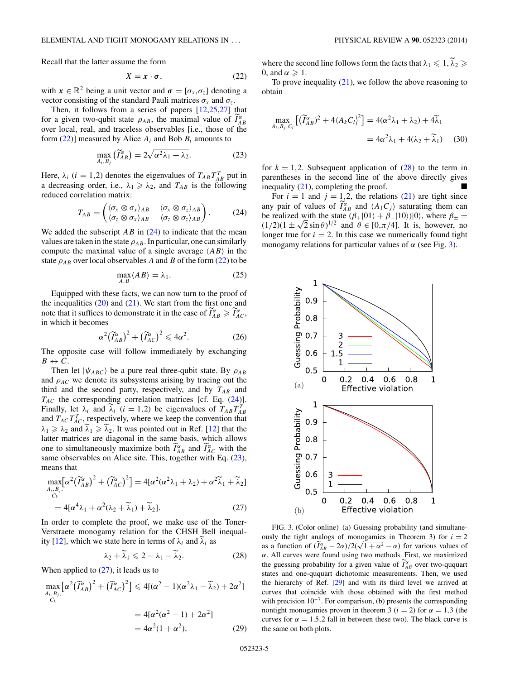<span id="page-4-0"></span>Recall that the latter assume the form

$$
X = x \cdot \sigma,\tag{22}
$$

with  $x \in \mathbb{R}^2$  being a unit vector and  $\sigma = [\sigma_x, \sigma_z]$  denoting a vector consisting of the standard Pauli matrices  $\sigma_x$  and  $\sigma_z$ .

Then, it follows from a series of papers [\[12,25,27\]](#page-9-0) that for a given two-qubit state  $\rho_{AB}$ , the maximal value of  $\widetilde{I}_{AB}^{\alpha}$ over local, real, and traceless observables [i.e., those of the form (22)] measured by Alice *Ai* and Bob *Bi* amounts to

$$
\max_{A_i, B_j} (\widetilde{I}_{AB}^{\alpha}) = 2\sqrt{\alpha^2 \lambda_1 + \lambda_2}.
$$
 (23)

Here,  $\lambda_i$  (*i* = 1,2) denotes the eigenvalues of  $T_{AB}T_{AB}^T$  put in a decreasing order, i.e.,  $\lambda_1 \geq \lambda_2$ , and  $T_{AB}$  is the following reduced correlation matrix:

$$
T_{AB} = \begin{pmatrix} \langle \sigma_x \otimes \sigma_x \rangle_{AB} & \langle \sigma_x \otimes \sigma_z \rangle_{AB} \\ \langle \sigma_z \otimes \sigma_x \rangle_{AB} & \langle \sigma_z \otimes \sigma_z \rangle_{AB} \end{pmatrix}.
$$
 (24)

We added the subscript  $AB$  in  $(24)$  to indicate that the mean values are taken in the state  $\rho_{AB}$ . In particular, one can similarly compute the maximal value of a single average  $\langle AB \rangle$  in the state  $\rho_{AB}$  over local observables *A* and *B* of the form (22) to be

$$
\max_{A,B} \langle AB \rangle = \lambda_1. \tag{25}
$$

Equipped with these facts, we can now turn to the proof of the inequalities  $(20)$  and  $(21)$ . We start from the first one and note that it suffices to demonstrate it in the case of  $\widetilde{I}_{AB}^{\alpha} \ge \widetilde{I}_{AC}^{\alpha}$ , in which it becomes

$$
\alpha^2 \left(\widetilde{I}_{AB}^{\alpha}\right)^2 + \left(\widetilde{I}_{AC}^{\alpha}\right)^2 \leq 4\alpha^2. \tag{26}
$$

The opposite case will follow immediately by exchanging  $B \leftrightarrow C$ .

Then let  $|\psi_{ABC}\rangle$  be a pure real three-qubit state. By  $\rho_{AB}$ and  $\rho_{AC}$  we denote its subsystems arising by tracing out the third and the second party, respectively, and by  $T_{AB}$  and *TAC* the corresponding correlation matrices [cf. Eq. (24)]. Finally, let  $\lambda_i$  and  $\tilde{\lambda}_i$  (*i* = 1,2) be eigenvalues of  $T_{AB}T_{AB}^T$ and  $T_{AC}T_{AC}^{T}$ , respectively, where we keep the convention that  $\lambda_1 \geq \lambda_2$  and  $\lambda_1 \geq \lambda_2$ . It was pointed out in Ref. [\[12\]](#page-9-0) that the latter matrices are diagonal in the same basis, which allows one to simultaneously maximize both  $\widetilde{I}_{AB}^{\alpha}$  and  $\widetilde{I}_{AC}^{\alpha}$  with the same observables on Alice site. This, together with Eq.  $(23)$ , means that

$$
\max_{\substack{A_i,B_j,\ \mathcal{C}_k}} \left[ \alpha^2 \left( \widetilde{I}_{AB}^{\alpha} \right)^2 + \left( \widetilde{I}_{AC}^{\alpha} \right)^2 \right] = 4 \left[ \alpha^2 (\alpha^2 \lambda_1 + \lambda_2) + \alpha^2 \widetilde{\lambda}_1 + \widetilde{\lambda}_2 \right]
$$

$$
=4[\alpha^{4}\lambda_{1}+\alpha^{2}(\lambda_{2}+\widetilde{\lambda}_{1})+\widetilde{\lambda}_{2}].
$$
\n(27)

In order to complete the proof, we make use of the Toner-Verstraete monogamy relation for the CHSH Bell inequal-ity [\[12\]](#page-9-0), which we state here in terms of  $\lambda_i$  and  $\lambda_i$  as

$$
\lambda_2 + \widetilde{\lambda}_1 \leqslant 2 - \lambda_1 - \widetilde{\lambda}_2. \tag{28}
$$

When applied to  $(27)$ , it leads us to

$$
\max_{\substack{A_i, B_j, \\ C_k}} \left[ \alpha^2 \left( \widetilde{I}_{AB}^{\alpha} \right)^2 + \left( \widetilde{I}_{AC}^{\alpha} \right)^2 \right] \le 4[(\alpha^2 - 1)(\alpha^2 \lambda_1 - \widetilde{\lambda}_2) + 2\alpha^2]
$$

$$
= 4[\alpha^2(\alpha^2 - 1) + 2\alpha^2]
$$

$$
= 4\alpha^2(1 + \alpha^2), \tag{29}
$$

where the second line follows form the facts that  $\lambda_1 \leq 1, \lambda_2 \geq$ 0, and  $\alpha \geqslant 1$ .

To prove inequality  $(21)$ , we follow the above reasoning to obtain

$$
\max_{A_i, B_j, C_l} \left[ \left( \widetilde{I}_{AB}^{\alpha} \right)^2 + 4 \langle A_k C_l \rangle^2 \right] = 4(\alpha^2 \lambda_1 + \lambda_2) + 4\widetilde{\lambda}_1
$$
  
=  $4\alpha^2 \lambda_1 + 4(\lambda_2 + \widetilde{\lambda}_1)$  (30)

for  $k = 1,2$ . Subsequent application of  $(28)$  to the term in parentheses in the second line of the above directly gives inequality [\(21\)](#page-3-0), completing the proof.

For  $i = 1$  and  $j = 1, 2$ , the relations [\(21\)](#page-3-0) are tight since any pair of values of  $\widetilde{I}_{AB}^{\alpha}$  and  $\langle A_1 C_j \rangle$  saturating them can be realized with the state  $(\beta_+|01\rangle + \beta_-|10\rangle)|0\rangle$ , where  $\beta_\pm$  = be realized with the state  $(\beta_+|01\rangle + \beta_-|10\rangle)|0\rangle$ , where  $\beta_\pm = (1/2)(1 \pm \sqrt{2} \sin \theta)^{1/2}$  and  $\theta \in [0, \pi/4]$ . It is, however, no longer true for  $i = 2$ . In this case we numerically found tight monogamy relations for particular values of *α* (see Fig. 3).



FIG. 3. (Color online) (a) Guessing probability (and simultaneously the tight analogs of monogamies in Theorem 3) for  $i = 2$ busify the tight analogs of monogamies in Theorem 3) for  $t = 2$ <br>as a function of  $(\tilde{I}_{AB}^{\alpha} - 2\alpha)/2(\sqrt{1 + \alpha^2} - \alpha)$  for various values of *α*. All curves were found using two methods. First, we maximized the guessing probability for a given value of  $\tilde{I}_{AB}^{\alpha}$  over two-ququart states and one-ququart dichotomic measurements. Then, we used the hierarchy of Ref. [\[29\]](#page-9-0) and with its third level we arrived at curves that coincide with those obtained with the first method with precision  $10^{-7}$ . For comparison, (b) presents the corresponding nontight monogamies proven in theorem 3 ( $i = 2$ ) for  $\alpha = 1,3$  (the curves for  $\alpha = 1.5, 2$  fall in between these two). The black curve is the same on both plots.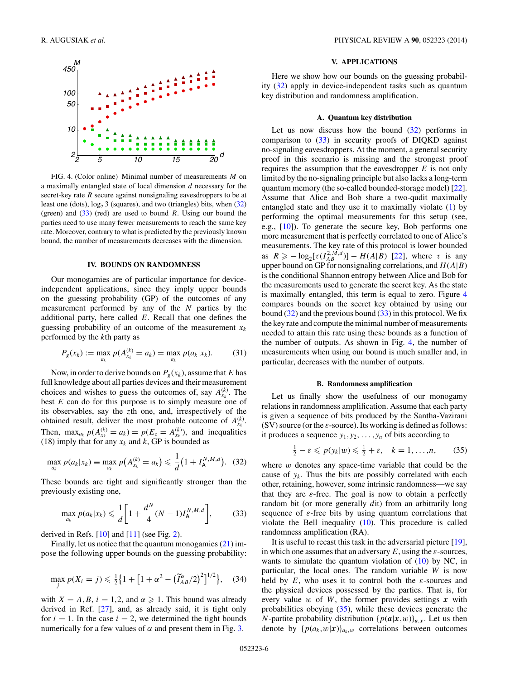<span id="page-5-0"></span>

FIG. 4. (Color online) Minimal number of measurements *M* on a maximally entangled state of local dimension *d* necessary for the secret-key rate *R* secure against nonsignaling eavesdroppers to be at least one (dots),  $\log_2 3$  (squares), and two (triangles) bits, when (32) (green) and (33) (red) are used to bound *R*. Using our bound the parties need to use many fewer measurements to reach the same key rate. Moreover, contrary to what is predicted by the previously known bound, the number of measurements decreases with the dimension.

#### **IV. BOUNDS ON RANDOMNESS**

Our monogamies are of particular importance for deviceindependent applications, since they imply upper bounds on the guessing probability (GP) of the outcomes of any measurement performed by any of the *N* parties by the additional party, here called *E*. Recall that one defines the guessing probability of an outcome of the measurement  $x_k$ performed by the *k*th party as

$$
P_g(x_k) := \max_{a_k} p(A_{x_k}^{(k)} = a_k) = \max_{a_k} p(a_k | x_k).
$$
 (31)

Now, in order to derive bounds on  $P_g(x_k)$ , assume that *E* has full knowledge about all parties devices and their measurement choices and wishes to guess the outcomes of, say  $A_{x_k}^{(k)}$ . The best *E* can do for this purpose is to simply measure one of its observables, say the *z*th one, and, irrespectively of the obtained result, deliver the most probable outcome of  $A_{x_k}^{(k)}$ . Then,  $\max_{a_k} p(A_{x_k}^{(k)} = a_k) = p(E_z = A_{x_k}^{(k)})$ , and inequalities (18) imply that for any  $x_k$  and  $k$ , GP is bounded as

$$
\max_{a_k} p(a_k|x_k) \equiv \max_{a_k} p(A_{x_k}^{(k)} = a_k) \leq \frac{1}{d} (1 + I_A^{N,M,d}). \quad (32)
$$

These bounds are tight and significantly stronger than the previously existing one,

$$
\max_{a_k} p(a_k | x_k) \leq \frac{1}{d} \bigg[ 1 + \frac{d^N}{4} (N - 1) I_A^{N, M, d} \bigg],
$$
 (33)

derived in Refs.  $[10]$  and  $[11]$  (see Fig. [2\)](#page-2-0).

Finally, let us notice that the quantum monogamies [\(21\)](#page-3-0) impose the following upper bounds on the guessing probability:

$$
\max_{j} p(X_i = j) \leq \frac{1}{2} \left\{ 1 + \left[ 1 + \alpha^2 - \left( \widetilde{I}_{AB}^{\alpha}/2 \right)^2 \right]^{1/2} \right\}, \quad (34)
$$

with  $X = A, B, i = 1, 2,$  and  $\alpha \geq 1$ . This bound was already derived in Ref. [\[27\]](#page-9-0), and, as already said, it is tight only for  $i = 1$ . In the case  $i = 2$ , we determined the tight bounds numerically for a few values of  $\alpha$  and present them in Fig. [3.](#page-4-0)

#### **V. APPLICATIONS**

Here we show how our bounds on the guessing probability (32) apply in device-independent tasks such as quantum key distribution and randomness amplification.

### **A. Quantum key distribution**

Let us now discuss how the bound  $(32)$  performs in comparison to (33) in security proofs of DIQKD against no-signaling eavesdroppers. At the moment, a general security proof in this scenario is missing and the strongest proof requires the assumption that the eavesdropper *E* is not only limited by the no-signaling principle but also lacks a long-term quantum memory (the so-called bounded-storage model) [\[22\]](#page-9-0). Assume that Alice and Bob share a two-qudit maximally entangled state and they use it to maximally violate [\(1\)](#page-1-0) by performing the optimal measurements for this setup (see, e.g., [\[10\]](#page-9-0)). To generate the secure key, Bob performs one more measurement that is perfectly correlated to one of Alice's measurements. The key rate of this protocol is lower bounded as  $R \ge -\log_2[\tau(I_{AB}^{2,M,d})] - H(A|B)$  [\[22\]](#page-9-0), where  $\tau$  is any upper bound on GP for nonsignaling correlations, and  $H(A|B)$ is the conditional Shannon entropy between Alice and Bob for the measurements used to generate the secret key. As the state is maximally entangled, this term is equal to zero. Figure 4 compares bounds on the secret key obtained by using our bound  $(32)$  and the previous bound  $(33)$  in this protocol. We fix the key rate and compute the minimal number of measurements needed to attain this rate using these bounds as a function of the number of outputs. As shown in Fig. 4, the number of measurements when using our bound is much smaller and, in particular, decreases with the number of outputs.

### **B. Randomness amplification**

Let us finally show the usefulness of our monogamy relations in randomness amplification. Assume that each party is given a sequence of bits produced by the Santha-Vazirani (SV) source (or the *ε*-source). Its working is defined as follows: it produces a sequence  $y_1, y_2, \ldots, y_n$  of bits according to

$$
\frac{1}{2} - \varepsilon \leqslant p(y_k|w) \leqslant \frac{1}{2} + \varepsilon, \quad k = 1, \dots, n,
$$
 (35)

where *w* denotes any space-time variable that could be the cause of  $y_k$ . Thus the bits are possibly correlated with each other, retaining, however, some intrinsic randomness—we say that they are  $\varepsilon$ -free. The goal is now to obtain a perfectly random bit (or more generally *d*it) from an arbitrarily long sequence of *ε*-free bits by using quantum correlations that violate the Bell inequality [\(10\)](#page-2-0). This procedure is called randomness amplification (RA).

It is useful to recast this task in the adversarial picture [\[19\]](#page-9-0), in which one assumes that an adversary *E*, using the *ε*-sources, wants to simulate the quantum violation of  $(10)$  by NC, in particular, the local ones. The random variable *W* is now held by  $E$ , who uses it to control both the  $\varepsilon$ -sources and the physical devices possessed by the parties. That is, for every value *w* of *W*, the former provides settings *x* with probabilities obeying (35), while these devices generate the *N*-partite probability distribution  $\{p(a|x,w)\}_{a,x}$ . Let us then denote by  $\{p(a_k, w|\mathbf{x})\}_{a_k, w}$  correlations between outcomes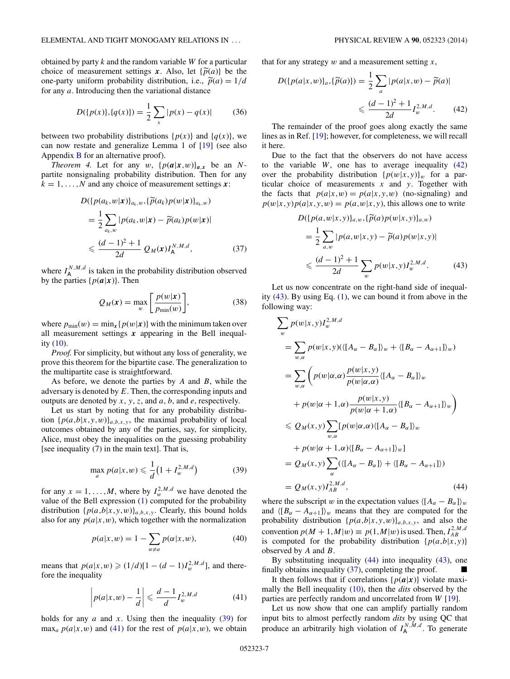<span id="page-6-0"></span>obtained by party *k* and the random variable *W* for a particular choice of measurement settings *x*. Also, let  $\{\widetilde{p}(a)\}$  be the one-party uniform probability distribution, i.e.,  $\tilde{p}(a) = 1/d$ for any *a*. Introducing then the variational distance

$$
D({p(x)}, {q(x)}) = \frac{1}{2} \sum_{x} |p(x) - q(x)|
$$
 (36)

between two probability distributions  $\{p(x)\}\$ and  $\{q(x)\}\$ , we can now restate and generalize Lemma 1 of [\[19\]](#page-9-0) (see also Appendix [B](#page-8-0) for an alternative proof).

*Theorem 4.* Let for any  $w$ ,  $\{p(a|x,w)\}_{a,x}$  be an *N*partite nonsignaling probability distribution. Then for any  $k = 1, \ldots, N$  and any choice of measurement settings  $x$ :

$$
D({p(a_k, w | \mathbf{x})}_{a_k, w}, {\widetilde{p}(a_k) p(w | \mathbf{x})}_{a_k, w})
$$
  
= 
$$
\frac{1}{2} \sum_{a_k, w} |p(a_k, w | \mathbf{x}) - \widetilde{p}(a_k) p(w | \mathbf{x})|
$$
  

$$
\leq \frac{(d-1)^2 + 1}{2d} Q_M(\mathbf{x}) I_A^{N, M, d},
$$
 (37)

where  $I_A^{N,M,d}$  is taken in the probability distribution observed by the parties  $\{p(a|x)\}\$ . Then

$$
Q_M(x) = \max_{w} \left[ \frac{p(w|x)}{p_{\min}(w)} \right],\tag{38}
$$

where  $p_{\min}(w) = \min_x \{p(w|\mathbf{x})\}$  with the minimum taken over all measurement settings *x* appearing in the Bell inequality  $(10)$ .

*Proof.* For simplicity, but without any loss of generality, we prove this theorem for the bipartite case. The generalization to the multipartite case is straightforward.

As before, we denote the parties by *A* and *B*, while the adversary is denoted by *E*. Then, the corresponding inputs and outputs are denoted by *x*, *y*, *z*, and *a*, *b*, and *e*, respectively.

Let us start by noting that for any probability distribution  $\{p(a,b|x,y,w)\}_{a,b,x,y}$ , the maximal probability of local outcomes obtained by any of the parties, say, for simplicity, Alice, must obey the inequalities on the guessing probability [see inequality (7) in the main text]. That is,

$$
\max_{a} p(a|x, w) \leq \frac{1}{d} \left( 1 + I_{w}^{2, M, d} \right) \tag{39}
$$

for any  $x = 1, \ldots, M$ , where by  $I_w^{2,M,d}$  we have denoted the value of the Bell expression [\(1\)](#page-1-0) computed for the probability distribution  $\{p(a,b|x,y,w)\}_{a,b,x,y}$ . Clearly, this bound holds also for any  $p(a|x,w)$ , which together with the normalization

$$
p(a|x, w) = 1 - \sum_{\alpha \neq a} p(\alpha|x, w), \tag{40}
$$

means that  $p(a|x,w) \geq (1/d)[1 - (d-1)I_w^{2,M,d}]$ , and therefore the inequality

$$
\left| p(a|x,w) - \frac{1}{d} \right| \leqslant \frac{d-1}{d} I_w^{2,M,d} \tag{41}
$$

holds for any  $a$  and  $x$ . Using then the inequality  $(39)$  for  $\max_a p(a|x, w)$  and (41) for the rest of  $p(a|x, w)$ , we obtain that for any strategy *w* and a measurement setting *x*,

$$
D({p(a|x,w)}_a,{\widetilde{p}(a)}) = \frac{1}{2} \sum_a |p(a|x,w) - \widetilde{p}(a)|
$$
  

$$
\leq \frac{(d-1)^2 + 1}{2d} I_w^{2,M,d}.
$$
 (42)

The remainder of the proof goes along exactly the same lines as in Ref. [\[19\]](#page-9-0); however, for completeness, we will recall it here.

Due to the fact that the observers do not have access to the variable  $W$ , one has to average inequality  $(42)$ over the probability distribution  $\{p(w|x,y)\}_w$  for a particular choice of measurements *x* and *y*. Together with the facts that  $p(a|x,w) = p(a|x,y,w)$  (no-signaling) and  $p(w|x, y)p(a|x, y, w) = p(a, w|x, y)$ , this allows one to write

$$
D(\{p(a, w|x, y)\}_{a, w}, \{\widetilde{p}(a)p(w|x, y)\}_{a, w})
$$
  
=  $\frac{1}{2} \sum_{a, w} |p(a, w|x, y) - \widetilde{p}(a)p(w|x, y)|$   
 $\leq \frac{(d-1)^2 + 1}{2d} \sum_{w} p(w|x, y) I_w^{2, M, d}.$  (43)

Let us now concentrate on the right-hand side of inequality  $(43)$ . By using Eq.  $(1)$ , we can bound it from above in the following way:

$$
\sum_{w} p(w|x, y) I_w^{2, M, d}
$$
\n
$$
= \sum_{w, \alpha} p(w|x, y) (\langle [A_{\alpha} - B_{\alpha}] \rangle_w + \langle [B_{\alpha} - A_{\alpha+1}] \rangle_w)
$$
\n
$$
= \sum_{w, \alpha} \left( p(w|\alpha, \alpha) \frac{p(w|x, y)}{p(w|\alpha, \alpha)} \langle [A_{\alpha} - B_{\alpha}] \rangle_w + p(w|\alpha + 1, \alpha) \frac{p(w|x, y)}{p(w|\alpha + 1, \alpha)} \langle [B_{\alpha} - A_{\alpha+1}] \rangle_w \right)
$$
\n
$$
\leq Q_M(x, y) \sum_{w, \alpha} [p(w|\alpha, \alpha) \langle [A_{\alpha} - B_{\alpha}] \rangle_w + p(w|\alpha + 1, \alpha) \langle [B_{\alpha} - A_{\alpha+1}] \rangle_w]
$$
\n
$$
= Q_M(x, y) \sum_{\alpha} (\langle [A_{\alpha} - B_{\alpha}] \rangle + \langle [B_{\alpha} - A_{\alpha+1}] \rangle)
$$
\n
$$
= Q_M(x, y) I_{AB}^{2, M, d}, \qquad (44)
$$

where the subscript *w* in the expectation values  $\langle [A_{\alpha} - B_{\alpha}] \rangle_w$ and  $\langle [B_{\alpha} - A_{\alpha+1}] \rangle_w$  means that they are computed for the probability distribution  $\{p(a,b|x,y,w)\}_{a,b,x,y}$ , and also the convention  $p(M + 1, M|w) \equiv p(1, M|w)$  is used. Then,  $I_{AB}^{2, M, d}$ is computed for the probability distribution  $\{p(a,b|x,y)\}$ observed by *A* and *B*.

By substituting inequality (44) into inequality (43), one finally obtains inequality (37), completing the proof.

It then follows that if correlations  $\{p(\boldsymbol{a}|\boldsymbol{x})\}$  violate maximally the Bell inequality [\(10\)](#page-2-0), then the *dits* observed by the parties are perfectly random and uncorrelated from *W* [\[19\]](#page-9-0).

Let us now show that one can amplify partially random input bits to almost perfectly random *dits* by using QC that produce an arbitrarily high violation of  $I_A^{N,M,d}$ . To generate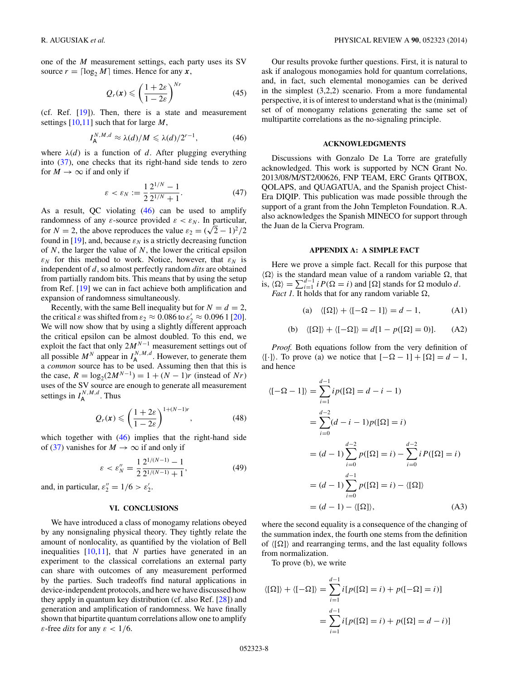<span id="page-7-0"></span>one of the *M* measurement settings, each party uses its SV source  $r = \lceil \log_2 M \rceil$  times. Hence for any *x*,

$$
Q_r(x) \leqslant \left(\frac{1+2\varepsilon}{1-2\varepsilon}\right)^{Nr} \tag{45}
$$

(cf. Ref. [\[19\]](#page-9-0)). Then, there is a state and measurement settings [\[10,11\]](#page-9-0) such that for large *M*,

$$
I_{\mathsf{A}}^{N,M,d} \approx \lambda(d)/M \leqslant \lambda(d)/2^{r-1},\tag{46}
$$

where  $\lambda(d)$  is a function of *d*. After plugging everything into [\(37\)](#page-6-0), one checks that its right-hand side tends to zero for  $M \to \infty$  if and only if

$$
\varepsilon < \varepsilon_N := \frac{1}{2} \frac{2^{1/N} - 1}{2^{1/N} + 1}.\tag{47}
$$

As a result, QC violating (46) can be used to amplify randomness of any  $\varepsilon$ -source provided  $\varepsilon < \varepsilon_N$ . In particular, From Franco extending *F* = source provided  $\varepsilon < \varepsilon_N$ . In particular,<br>for *N* = 2, the above reproduces the value  $\varepsilon_2 = (\sqrt{2} - 1)^2/2$ found in [\[19\]](#page-9-0), and, because  $\varepsilon_N$  is a strictly decreasing function of *N*, the larger the value of *N*, the lower the critical epsilon *ε<sub>N</sub>* for this method to work. Notice, however, that  $\varepsilon_N$  is independent of *d*, so almost perfectly random *dits* are obtained from partially random bits. This means that by using the setup from Ref. [\[19\]](#page-9-0) we can in fact achieve both amplification and expansion of randomness simultaneously.

Recently, with the same Bell inequality but for  $N = d = 2$ , the critical  $\varepsilon$  was shifted from  $\varepsilon_2 \approx 0.086$  to  $\varepsilon'_2 \approx 0.096$  1 [\[20\]](#page-9-0). We will now show that by using a slightly different approach the critical epsilon can be almost doubled. To this end, we exploit the fact that only 2*MN*−<sup>1</sup> measurement settings out of all possible  $M^N$  appear in  $I_A^{N,M,d}$ . However, to generate them a *common* source has to be used. Assuming then that this is the case,  $R = \log_2(2M^{N-1}) = 1 + (N-1)r$  (instead of *Nr*) uses of the SV source are enough to generate all measurement settings in  $I_A^{N,M,d}$ . Thus

$$
Q_r(x) \leqslant \left(\frac{1+2\varepsilon}{1-2\varepsilon}\right)^{1+(N-1)r},\tag{48}
$$

which together with  $(46)$  implies that the right-hand side of [\(37\)](#page-6-0) vanishes for  $M \to \infty$  if and only if

$$
\varepsilon < \varepsilon_N'' = \frac{1}{2} \frac{2^{1/(N-1)} - 1}{2^{1/(N-1)} + 1},\tag{49}
$$

and, in particular,  $\varepsilon_2'' = 1/6 > \varepsilon_2'$ .

#### **VI. CONCLUSIONS**

We have introduced a class of monogamy relations obeyed by any nonsignaling physical theory. They tightly relate the amount of nonlocality, as quantified by the violation of Bell inequalities [\[10,11\]](#page-9-0), that *N* parties have generated in an experiment to the classical correlations an external party can share with outcomes of any measurement performed by the parties. Such tradeoffs find natural applications in device-independent protocols, and here we have discussed how they apply in quantum key distribution (cf. also Ref. [\[28\]](#page-9-0)) and generation and amplification of randomness. We have finally shown that bipartite quantum correlations allow one to amplify *ε*-free *dits* for any *ε <* 1*/*6.

Our results provoke further questions. First, it is natural to ask if analogous monogamies hold for quantum correlations, and, in fact, such elemental monogamies can be derived in the simplest (3,2,2) scenario. From a more fundamental perspective, it is of interest to understand what is the (minimal) set of of monogamy relations generating the same set of multipartite correlations as the no-signaling principle.

#### **ACKNOWLEDGMENTS**

Discussions with Gonzalo De La Torre are gratefully acknowledged. This work is supported by NCN Grant No. 2013/08/M/ST2/00626, FNP TEAM, ERC Grants QITBOX, QOLAPS, and QUAGATUA, and the Spanish project Chist-Era DIQIP. This publication was made possible through the support of a grant from the John Templeton Foundation. R.A. also acknowledges the Spanish MINECO for support through the Juan de la Cierva Program.

### **APPENDIX A: A SIMPLE FACT**

Here we prove a simple fact. Recall for this purpose that  $\langle \Omega \rangle$  is the standard mean value of a random variable  $\Omega$ , that is,  $\langle \Omega \rangle = \sum_{i=1}^{d-1} i P(\Omega = i)$  and  $[\Omega]$  stands for  $\Omega$  modulo *d*.

*Fact 1*. It holds that for any random variable  $\Omega$ ,

(a)  $\langle [\Omega] \rangle + \langle [-\Omega - 1] \rangle = d - 1,$  (A1)

(b) 
$$
\langle [\Omega] \rangle + \langle [-\Omega] \rangle = d[1 - p([\Omega] = 0)].
$$
 (A2)

*Proof.* Both equations follow from the very definition of  $\langle [\cdot] \rangle$ . To prove (a) we notice that  $[-\Omega - 1] + [\Omega] = d - 1$ , and hence

$$
\langle [-\Omega - 1] \rangle = \sum_{i=1}^{d-1} i p([\Omega] = d - i - 1)
$$
  
= 
$$
\sum_{i=0}^{d-2} (d - i - 1) p([\Omega] = i)
$$
  
= 
$$
(d - 1) \sum_{i=0}^{d-2} p([\Omega] = i) - \sum_{i=0}^{d-2} i P([\Omega] = i)
$$
  
= 
$$
(d - 1) \sum_{i=0}^{d-1} p([\Omega] = i) - \langle [\Omega] \rangle
$$
  
= 
$$
(d - 1) - \langle [\Omega] \rangle,
$$
 (A3)

where the second equality is a consequence of the changing of the summation index, the fourth one stems from the definition of  $\langle [\Omega] \rangle$  and rearranging terms, and the last equality follows from normalization.

To prove (b), we write

$$
\langle [\Omega] \rangle + \langle [-\Omega] \rangle = \sum_{i=1}^{d-1} i [p([\Omega] = i) + p([-\Omega] = i)]
$$

$$
= \sum_{i=1}^{d-1} i [p([\Omega] = i) + p([\Omega] = d - i)]
$$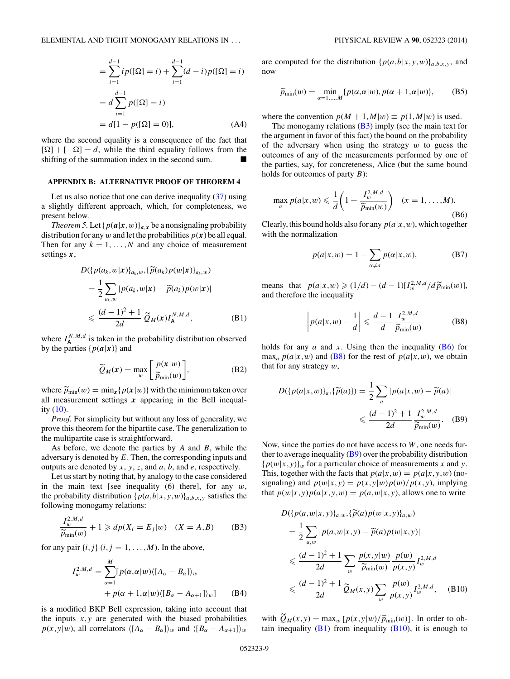<span id="page-8-0"></span>
$$
= \sum_{i=1}^{d-1} i p([\Omega] = i) + \sum_{i=1}^{d-1} (d-i) p([\Omega] = i)
$$

$$
= d \sum_{i=1}^{d-1} p([\Omega] = i)
$$

$$
= d[1 - p([\Omega] = 0)], \qquad (A4)
$$

where the second equality is a consequence of the fact that  $[\Omega] + [-\Omega] = d$ , while the third equality follows from the shifting of the summation index in the second sum.

#### **APPENDIX B: ALTERNATIVE PROOF OF THEOREM 4**

Let us also notice that one can derive inequality  $(37)$  using a slightly different approach, which, for completeness, we present below.

*Theorem 5.* Let  $\{p(a|x,w)\}_{a,x}$  be a nonsignaling probability distribution for any *w* and let the probabilities  $p(x)$  be all equal. Then for any  $k = 1, \ldots, N$  and any choice of measurement settings *x*,

$$
D({p(a_k, w|\mathbf{x})}_{a_k, w}, {\widetilde{p}(a_k)p(w|\mathbf{x})}_{a_k, w})
$$
  
= 
$$
\frac{1}{2} \sum_{a_k, w} |p(a_k, w|\mathbf{x}) - \widetilde{p}(a_k)p(w|\mathbf{x})|
$$
  

$$
\leq \frac{(d-1)^2 + 1}{2d} \widetilde{Q}_M(\mathbf{x}) I_A^{N, M, d},
$$
 (B1)

where  $I_A^{N,M,d}$  is taken in the probability distribution observed by the parties  $\{p(a|x)\}\$ and

$$
\widetilde{Q}_M(x) = \max_w \left[ \frac{p(x|w)}{\widetilde{p}_{\min}(w)} \right],\tag{B2}
$$

where  $\tilde{p}_{\text{min}}(w) = \min_x \{p(x|w)\}\$  with the minimum taken over all measurement settings *x* appearing in the Bell inequality  $(10)$ .

*Proof.* For simplicity but without any loss of generality, we prove this theorem for the bipartite case. The generalization to the multipartite case is straightforward.

As before, we denote the parties by *A* and *B*, while the adversary is denoted by *E*. Then, the corresponding inputs and outputs are denoted by *x*, *y*, *z*, and *a*, *b*, and *e*, respectively.

Let us start by noting that, by analogy to the case considered in the main text [see inequality (6) there], for any *w*, the probability distribution  $\{p(a,b|x,y,w)\}_{a,b,x,y}$  satisfies the following monogamy relations:

$$
\frac{I_w^{2,M,d}}{\widetilde{p}_{\min}(w)} + 1 \geqslant dp(X_i = E_j|w) \quad (X = A, B) \tag{B3}
$$

for any pair  $\{i, j\}$   $(i, j = 1, \ldots, M)$ . In the above,

$$
I_w^{2,M,d} = \sum_{\alpha=1}^M [p(\alpha,\alpha|w)\langle [A_{\alpha} - B_{\alpha}]\rangle_w
$$
  
+  $p(\alpha + 1,\alpha|w)\langle [B_{\alpha} - A_{\alpha+1}]\rangle_w]$  (B4)

is a modified BKP Bell expression, taking into account that the inputs  $x, y$  are generated with the biased probabilities  $p(x,y|w)$ , all correlators  $\langle [A_{\alpha} - B_{\alpha}] \rangle_w$  and  $\langle [B_{\alpha} - A_{\alpha+1}] \rangle_w$ 

are computed for the distribution  $\{p(a,b|x,y,w)\}_{a,b,x,y}$ , and now

$$
\widetilde{p}_{\min}(w) = \min_{\alpha=1,\dots,M} \{p(\alpha,\alpha|w), p(\alpha+1,\alpha|w)\},\tag{B5}
$$

where the convention  $p(M + 1, M|w) \equiv p(1, M|w)$  is used.

The monogamy relations  $(B3)$  imply (see the main text for the argument in favor of this fact) the bound on the probability of the adversary when using the strategy *w* to guess the outcomes of any of the measurements performed by one of the parties, say, for concreteness, Alice (but the same bound holds for outcomes of party *B*):

$$
\max_{a} p(a|x,w) \leq \frac{1}{d} \left( 1 + \frac{I_w^{2,M,d}}{\widetilde{p}_{\min}(w)} \right) \quad (x = 1, \dots, M).
$$
\n(B6)

Clearly, this bound holds also for any  $p(a|x, w)$ , which together with the normalization

$$
p(a|x, w) = 1 - \sum_{\alpha \neq a} p(\alpha|x, w),
$$
 (B7)

means that  $p(a|x,w) \geq (1/d) - (d-1)[I_w^{2,M,d}/d\widetilde{p}_{min}(w)],$ and therefore the inequality

> $\overline{\phantom{a}}$  $\overline{\phantom{a}}$  $\overline{\phantom{a}}$  $\overline{\phantom{a}}$

$$
p(a|x, w) - \frac{1}{d} \left| \leq \frac{d-1}{d} \frac{I_w^{2, M, d}}{\widetilde{p}_{\min}(w)} \right|
$$
 (B8)

holds for any  $a$  and  $x$ . Using then the inequality  $(B6)$  for  $\max_a p(a|x, w)$  and (B8) for the rest of  $p(a|x, w)$ , we obtain that for any strategy *w*,

$$
D({p(a|x, w)}_a, \{\widetilde{p}(a)\}) = \frac{1}{2} \sum_a |p(a|x, w) - \widetilde{p}(a)|
$$
  

$$
\leq \frac{(d-1)^2 + 1}{2d} \frac{I_w^{2, M, d}}{\widetilde{p}_{\min}(w)}.
$$
 (B9)

Now, since the parties do not have access to *W*, one needs further to average inequality  $(B9)$  over the probability distribution  ${p(w|x, y)}$ *w* for a particular choice of measurements *x* and *y*. This, together with the facts that  $p(a|x, w) = p(a|x, y, w)$  (nosignaling) and  $p(w|x,y) = p(x,y|w)p(w)/p(x,y)$ , implying that  $p(w|x, y)p(a|x, y, w) = p(a, w|x, y)$ , allows one to write

$$
D({p(a, w|x, y)}_{a, w}, {\tilde{p}(a)p(w|x, y)}_{a, w})
$$
  
=  $\frac{1}{2} \sum_{a, w} |p(a, w|x, y) - \tilde{p}(a)p(w|x, y)|$   
 $\leq \frac{(d-1)^2 + 1}{2d} \sum_{w} \frac{p(x, y|w)}{\tilde{p}_{min}(w)} \frac{p(w)}{p(x, y)} I_{w}^{2, M, d}$   
 $\leq \frac{(d-1)^2 + 1}{2d} \tilde{Q}_M(x, y) \sum_{w} \frac{p(w)}{p(x, y)} I_{w}^{2, M, d},$  (B10)

with  $\tilde{Q}_M(x, y) = \max_w [p(x, y|w)/\tilde{p}_{\min}(w)]$ . In order to obtain in a matrix (0.10) for the spannel to tain inequality  $(B1)$  from inequality  $(B10)$ , it is enough to